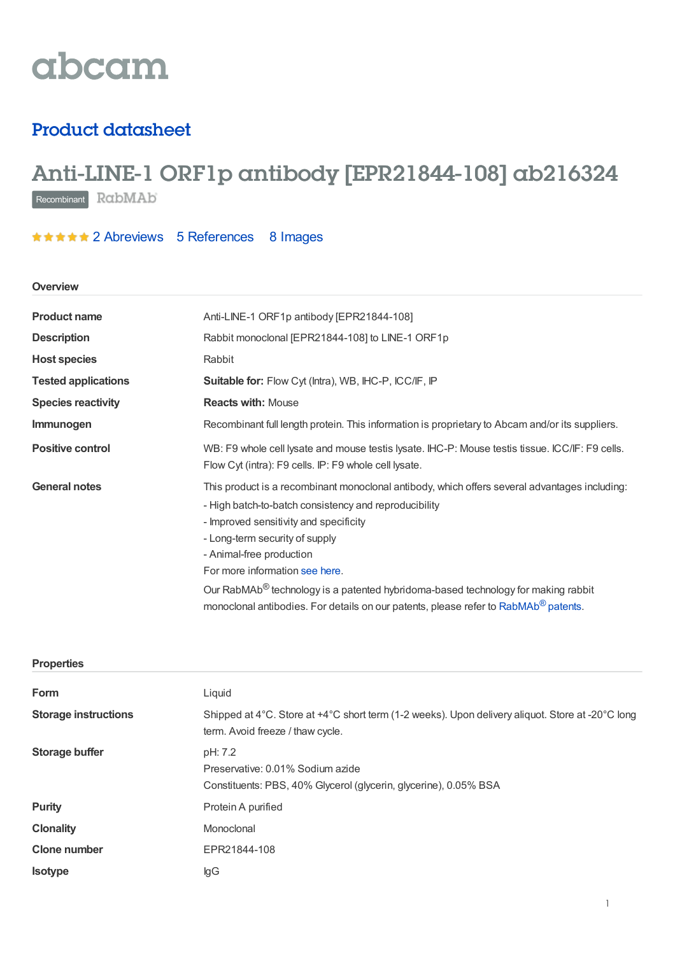# abcam

## Product datasheet

## Anti-LINE-1 ORF1p antibody [EPR21844-108] ab216324

Recombinant RabMAb

### **★★★★★** 2 [Abreviews](https://www.abcam.com/line-1-orf1p-antibody-epr21844-108-ab216324.html?productWallTab=Abreviews) 5 [References](https://www.abcam.com/line-1-orf1p-antibody-epr21844-108-ab216324.html#description_references) 8 Images

### **Overview**

| <b>Product name</b>        | Anti-LINE-1 ORF1p antibody [EPR21844-108]                                                                                                                                                                                                                                                                                                                                                                                                                                                            |  |  |
|----------------------------|------------------------------------------------------------------------------------------------------------------------------------------------------------------------------------------------------------------------------------------------------------------------------------------------------------------------------------------------------------------------------------------------------------------------------------------------------------------------------------------------------|--|--|
| <b>Description</b>         | Rabbit monoclonal [EPR21844-108] to LINE-1 ORF1p                                                                                                                                                                                                                                                                                                                                                                                                                                                     |  |  |
| <b>Host species</b>        | Rabbit                                                                                                                                                                                                                                                                                                                                                                                                                                                                                               |  |  |
| <b>Tested applications</b> | Suitable for: Flow Cyt (Intra), WB, IHC-P, ICC/IF, IP                                                                                                                                                                                                                                                                                                                                                                                                                                                |  |  |
| <b>Species reactivity</b>  | <b>Reacts with: Mouse</b>                                                                                                                                                                                                                                                                                                                                                                                                                                                                            |  |  |
| Immunogen                  | Recombinant full length protein. This information is proprietary to Abcam and/or its suppliers.                                                                                                                                                                                                                                                                                                                                                                                                      |  |  |
| <b>Positive control</b>    | WB: F9 whole cell lysate and mouse testis lysate. IHC-P: Mouse testis tissue. ICC/IF: F9 cells.<br>Flow Cyt (intra): F9 cells. IP: F9 whole cell lysate.                                                                                                                                                                                                                                                                                                                                             |  |  |
| <b>General notes</b>       | This product is a recombinant monoclonal antibody, which offers several advantages including:<br>- High batch-to-batch consistency and reproducibility<br>- Improved sensitivity and specificity<br>- Long-term security of supply<br>- Animal-free production<br>For more information see here.<br>Our RabMAb <sup>®</sup> technology is a patented hybridoma-based technology for making rabbit<br>monoclonal antibodies. For details on our patents, please refer to RabMAb <sup>®</sup> patents. |  |  |
| <b>Properties</b>          |                                                                                                                                                                                                                                                                                                                                                                                                                                                                                                      |  |  |
|                            |                                                                                                                                                                                                                                                                                                                                                                                                                                                                                                      |  |  |

| Form                        | Liquid                                                                                                                               |  |
|-----------------------------|--------------------------------------------------------------------------------------------------------------------------------------|--|
| <b>Storage instructions</b> | Shipped at 4°C. Store at +4°C short term (1-2 weeks). Upon delivery aliquot. Store at -20°C long<br>term. Avoid freeze / thaw cycle. |  |
| <b>Storage buffer</b>       | pH: 7.2<br>Preservative: 0.01% Sodium azide<br>Constituents: PBS, 40% Glycerol (glycerin, glycerine), 0.05% BSA                      |  |
| <b>Purity</b>               | Protein A purified                                                                                                                   |  |
| <b>Clonality</b>            | Monoclonal                                                                                                                           |  |
| <b>Clone number</b>         | EPR21844-108                                                                                                                         |  |
| <b>Isotype</b>              | lgG                                                                                                                                  |  |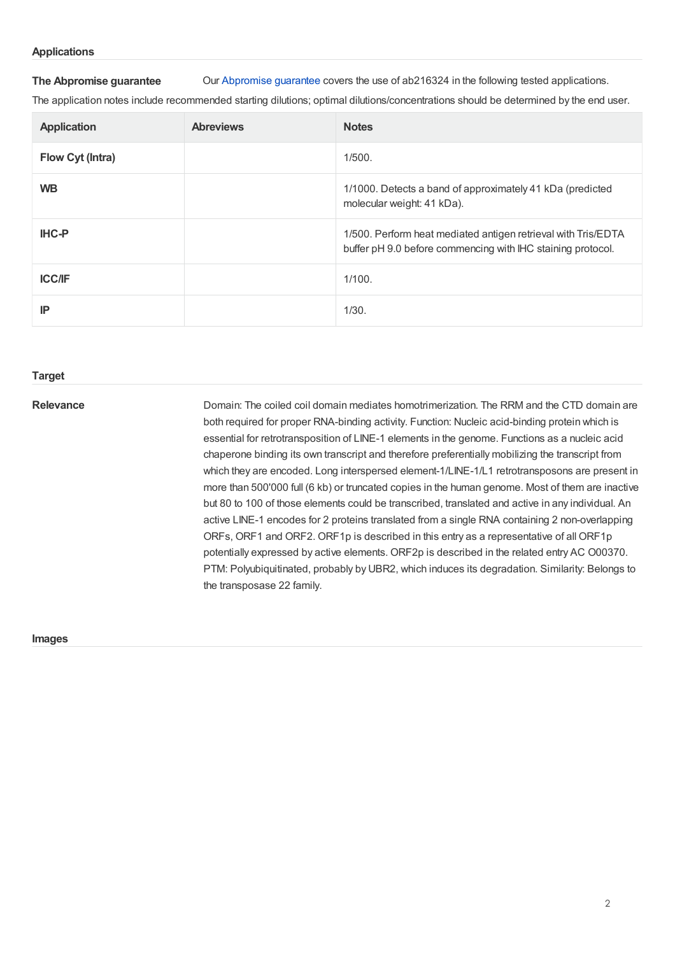### **Applications**

**The Abpromise guarantee** Our [Abpromise](https://www.abcam.com/abpromise) guarantee covers the use of ab216324 in the following tested applications.

The application notes include recommended starting dilutions; optimal dilutions/concentrations should be determined by the end user.

| <b>Application</b> | <b>Abreviews</b> | <b>Notes</b>                                                                                                                 |
|--------------------|------------------|------------------------------------------------------------------------------------------------------------------------------|
| Flow Cyt (Intra)   |                  | 1/500.                                                                                                                       |
| <b>WB</b>          |                  | 1/1000. Detects a band of approximately 41 kDa (predicted<br>molecular weight: 41 kDa).                                      |
| <b>IHC-P</b>       |                  | 1/500. Perform heat mediated antigen retrieval with Tris/EDTA<br>buffer pH 9.0 before commencing with IHC staining protocol. |
| <b>ICC/IF</b>      |                  | 1/100.                                                                                                                       |
| IP                 |                  | 1/30.                                                                                                                        |

### **Target**

**Relevance Exercise 3 Domain:** The coiled coil domain mediates homotrimerization. The RRM and the CTD domain are both required for proper RNA-binding activity. Function: Nucleic acid-binding protein which is essential for retrotransposition of LINE-1 elements in the genome. Functions as a nucleic acid chaperone binding its own transcript and therefore preferentially mobilizing the transcript from which they are encoded. Long interspersed element-1/LINE-1/L1 retrotransposons are present in more than 500'000 full (6 kb) or truncated copies in the human genome. Most of them are inactive but 80 to 100 of those elements could be transcribed, translated and active in any individual. An active LINE-1 encodes for 2 proteins translated from a single RNA containing 2 non-overlapping ORFs, ORF1 and ORF2. ORF1p is described in this entry as a representative of all ORF1p potentially expressed by active elements. ORF2p is described in the related entry AC O00370. PTM: Polyubiquitinated, probably by UBR2, which induces its degradation. Similarity: Belongs to the transposase 22 family.

### **Images**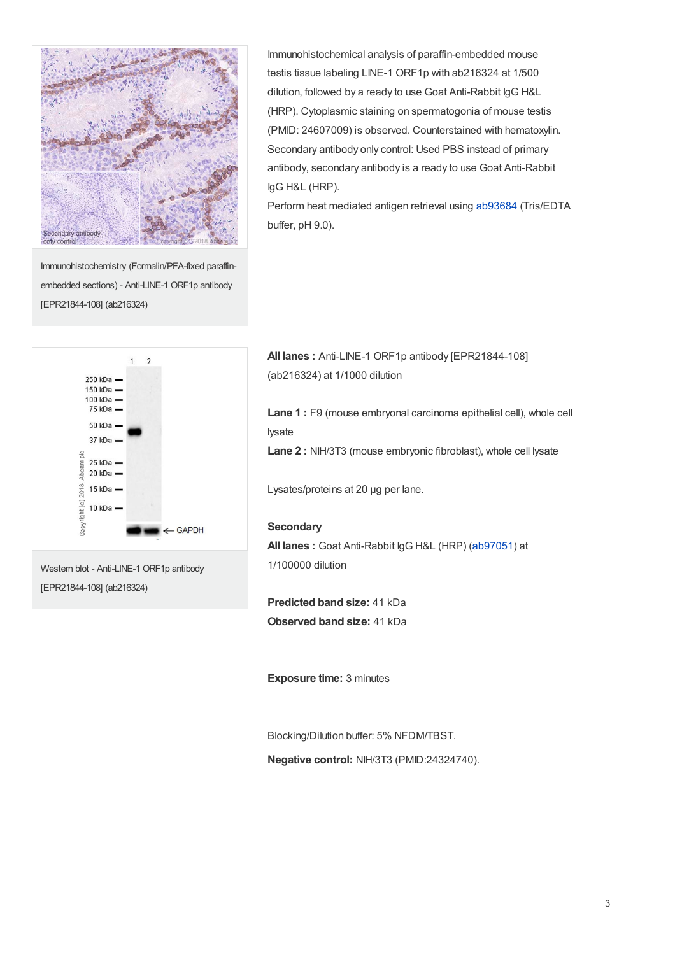

Immunohistochemistry (Formalin/PFA-fixed paraffinembedded sections) - Anti-LINE-1 ORF1p antibody [EPR21844-108] (ab216324)

Immunohistochemical analysis of paraffin-embedded mouse testis tissue labeling LINE-1 ORF1p with ab216324 at 1/500 dilution, followed by a ready to use Goat Anti-Rabbit IgG H&L (HRP). Cytoplasmic staining on spermatogonia of mouse testis (PMID: 24607009) is observed. Counterstained with hematoxylin. Secondary antibody only control: Used PBS instead of primary antibody, secondary antibody is a ready to use Goat Anti-Rabbit IgG H&L (HRP).

Perform heat mediated antigen retrieval using [ab93684](https://www.abcam.com/ab93684.html) (Tris/EDTA buffer, pH 9.0).



Western blot - Anti-LINE-1 ORF1p antibody [EPR21844-108] (ab216324)

**All lanes :** Anti-LINE-1 ORF1p antibody [EPR21844-108] (ab216324) at 1/1000 dilution

**Lane 1 :** F9 (mouse embryonal carcinoma epithelial cell), whole cell lysate

**Lane 2 :** NIH/3T3 (mouse embryonic fibroblast), whole cell lysate

Lysates/proteins at 20 µg per lane.

### **Secondary**

**All lanes :** Goat Anti-Rabbit IgG H&L (HRP) [\(ab97051](https://www.abcam.com/ab97051.html)) at 1/100000 dilution

**Predicted band size:** 41 kDa **Observed band size:** 41 kDa

**Exposure time:** 3 minutes

Blocking/Dilution buffer: 5% NFDM/TBST.

**Negative control:** NIH/3T3 (PMID:24324740).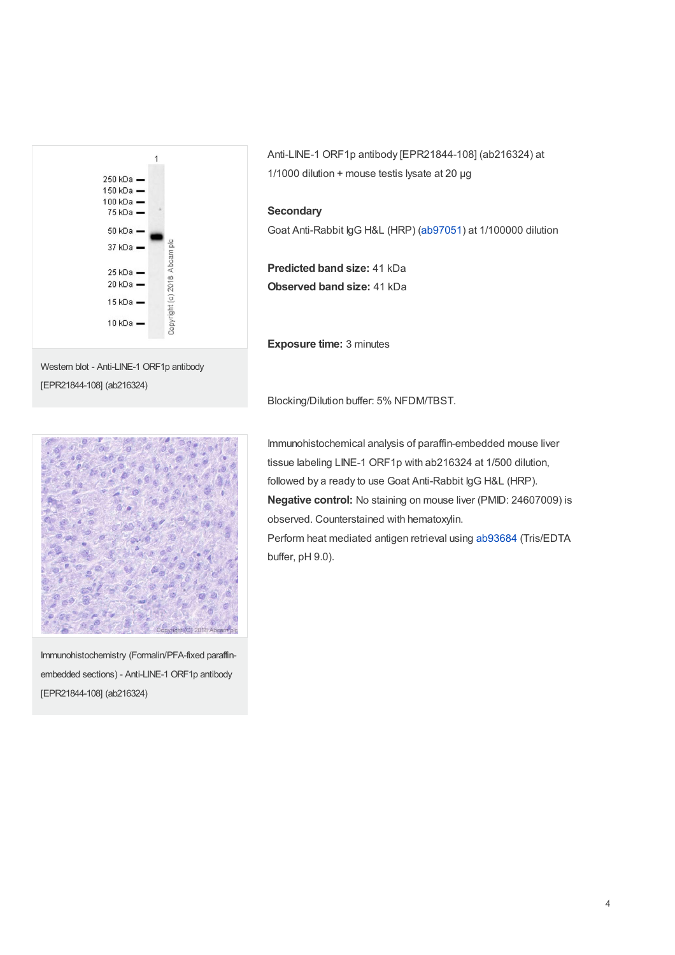



Anti-LINE-1 ORF1p antibody [EPR21844-108] (ab216324) at 1/1000 dilution + mouse testis lysate at 20 µg

### **Secondary**

Goat Anti-Rabbit IgG H&L (HRP) [\(ab97051](https://www.abcam.com/ab97051.html)) at 1/100000 dilution

**Predicted band size:** 41 kDa **Observed band size:** 41 kDa

**Exposure time:** 3 minutes

Blocking/Dilution buffer: 5% NFDM/TBST.



Immunohistochemistry (Formalin/PFA-fixed paraffinembedded sections) - Anti-LINE-1 ORF1p antibody [EPR21844-108] (ab216324)

Immunohistochemical analysis of paraffin-embedded mouse liver tissue labeling LINE-1 ORF1p with ab216324 at 1/500 dilution, followed by a ready to use Goat Anti-Rabbit IgG H&L (HRP). **Negative control:** No staining on mouse liver (PMID: 24607009) is observed. Counterstained with hematoxylin. Perform heat mediated antigen retrieval using [ab93684](https://www.abcam.com/ab93684.html) (Tris/EDTA buffer, pH 9.0).

4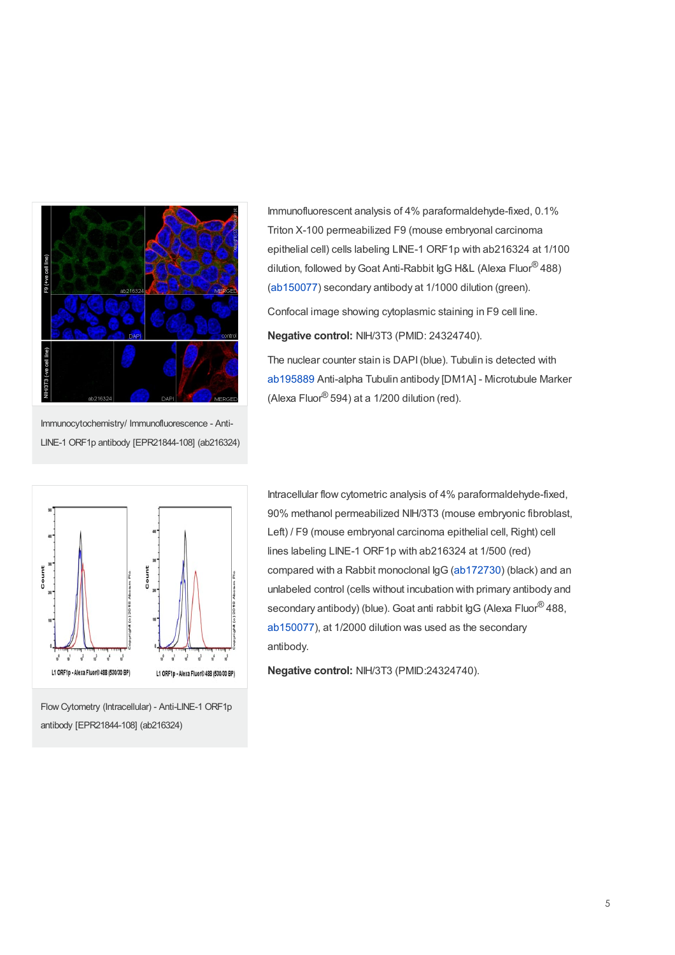

Immunocytochemistry/ Immunofluorescence - Anti-LINE-1 ORF1p antibody [EPR21844-108] (ab216324)



**Negative control:** NIH/3T3 (PMID: 24324740).

The nuclear counter stain is DAPI(blue). Tubulin is detected with [ab195889](https://www.abcam.com/ab195889.html) Anti-alpha Tubulin antibody [DM1A] - Microtubule Marker (Alexa Fluor $\mathcal{B}$  594) at a 1/200 dilution (red).



Flow Cytometry (Intracellular) - Anti-LINE-1 ORF1p antibody [EPR21844-108] (ab216324)

Intracellular flow cytometric analysis of 4% paraformaldehyde-fixed, 90% methanol permeabilized NIH/3T3 (mouse embryonic fibroblast, Left) / F9 (mouse embryonal carcinoma epithelial cell, Right) cell lines labeling LINE-1 ORF1p with ab216324 at 1/500 (red) compared with a Rabbit monoclonal IgG [\(ab172730](https://www.abcam.com/ab172730.html)) (black) and an unlabeled control (cells without incubation with primary antibody and secondary antibody) (blue). Goat anti rabbit IgG (Alexa Fluor® 488, [ab150077](https://www.abcam.com/ab150077.html)), at 1/2000 dilution was used as the secondary antibody.

**Negative control:** NIH/3T3 (PMID:24324740).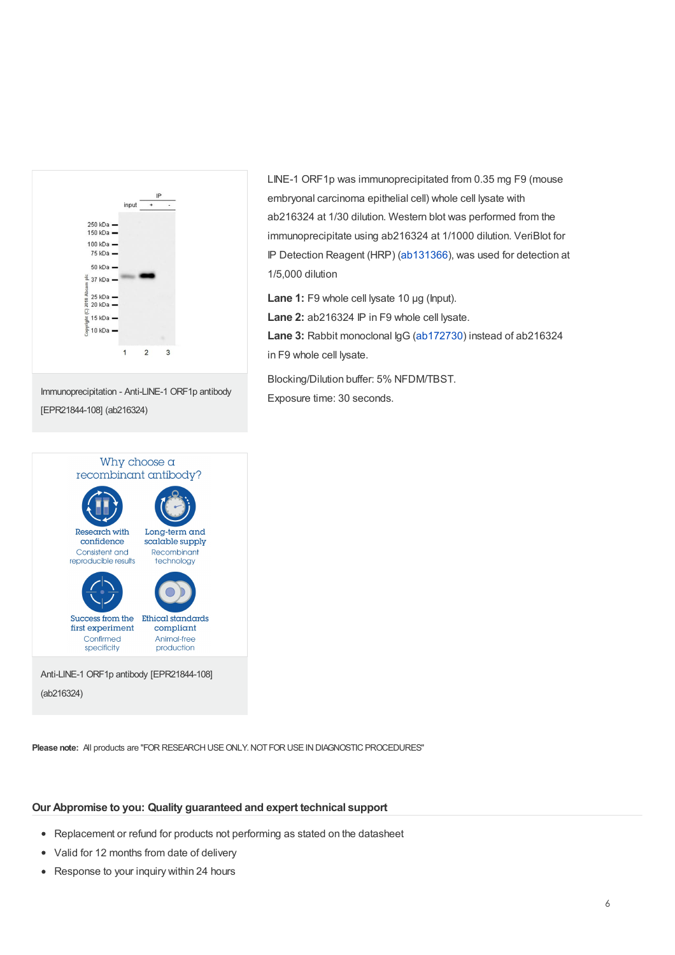



LINE-1 ORF1p was immunoprecipitated from 0.35 mg F9 (mouse embryonal carcinoma epithelial cell) whole cell lysate with ab216324 at 1/30 dilution. Western blot was performed from the immunoprecipitate using ab216324 at 1/1000 dilution. VeriBlot for IP Detection Reagent (HRP) [\(ab131366](https://www.abcam.com/ab131366.html)), was used for detection at 1/5,000 dilution

**Lane 1:** F9 whole cell lysate 10 µg (Input).

**Lane 2:** ab216324 IP in F9 whole cell lysate.

**Lane 3:** Rabbit monoclonal IgG [\(ab172730](https://www.abcam.com/ab172730.html)) instead of ab216324 in F9 whole cell lysate.

Blocking/Dilution buffer: 5% NFDM/TBST. Exposure time: 30 seconds.

**Please note:** All products are "FOR RESEARCH USE ONLY. NOT FOR USE IN DIAGNOSTIC PROCEDURES"

### **Our Abpromise to you: Quality guaranteed and expert technical support**

- Replacement or refund for products not performing as stated on the datasheet
- Valid for 12 months from date of delivery  $\bullet$
- Response to your inquiry within 24 hours